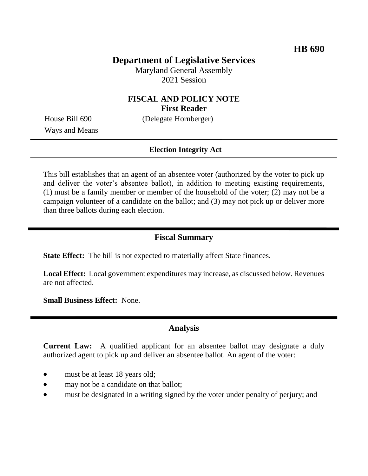## **Department of Legislative Services**

Maryland General Assembly 2021 Session

### **FISCAL AND POLICY NOTE First Reader**

Ways and Means

House Bill 690 (Delegate Hornberger)

#### **Election Integrity Act**

This bill establishes that an agent of an absentee voter (authorized by the voter to pick up and deliver the voter's absentee ballot), in addition to meeting existing requirements, (1) must be a family member or member of the household of the voter; (2) may not be a campaign volunteer of a candidate on the ballot; and (3) may not pick up or deliver more than three ballots during each election.

### **Fiscal Summary**

**State Effect:** The bill is not expected to materially affect State finances.

**Local Effect:** Local government expenditures may increase, as discussed below. Revenues are not affected.

**Small Business Effect:** None.

#### **Analysis**

**Current Law:** A qualified applicant for an absentee ballot may designate a duly authorized agent to pick up and deliver an absentee ballot. An agent of the voter:

- must be at least 18 years old;
- may not be a candidate on that ballot;
- must be designated in a writing signed by the voter under penalty of perjury; and